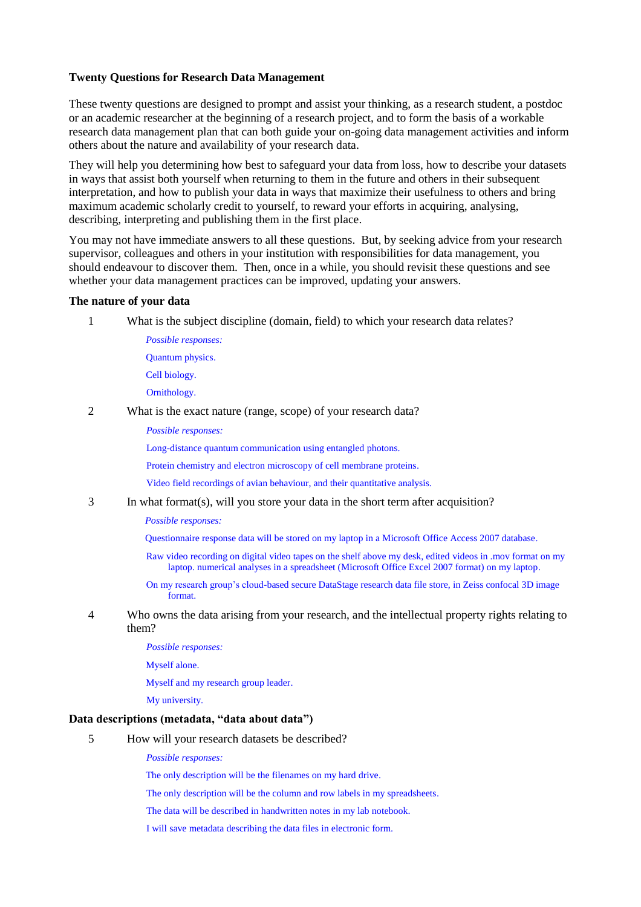## **Twenty Questions for Research Data Management**

These twenty questions are designed to prompt and assist your thinking, as a research student, a postdoc or an academic researcher at the beginning of a research project, and to form the basis of a workable research data management plan that can both guide your on-going data management activities and inform others about the nature and availability of your research data.

They will help you determining how best to safeguard your data from loss, how to describe your datasets in ways that assist both yourself when returning to them in the future and others in their subsequent interpretation, and how to publish your data in ways that maximize their usefulness to others and bring maximum academic scholarly credit to yourself, to reward your efforts in acquiring, analysing, describing, interpreting and publishing them in the first place.

You may not have immediate answers to all these questions. But, by seeking advice from your research supervisor, colleagues and others in your institution with responsibilities for data management, you should endeavour to discover them. Then, once in a while, you should revisit these questions and see whether your data management practices can be improved, updating your answers.

### **The nature of your data**

- 1 What is the subject discipline (domain, field) to which your research data relates?
	- *Possible responses:*  Quantum physics. Cell biology. Ornithology.
- 2 What is the exact nature (range, scope) of your research data?
	- *Possible responses:*

Long-distance quantum communication using entangled photons.

Protein chemistry and electron microscopy of cell membrane proteins.

Video field recordings of avian behaviour, and their quantitative analysis.

3 In what format(s), will you store your data in the short term after acquisition?

*Possible responses:*

Questionnaire response data will be stored on my laptop in a Microsoft Office Access 2007 database.

- Raw video recording on digital video tapes on the shelf above my desk, edited videos in .mov format on my laptop. numerical analyses in a spreadsheet (Microsoft Office Excel 2007 format) on my laptop.
- On my research group's cloud-based secure DataStage research data file store, in Zeiss confocal 3D image format.
- 4 Who owns the data arising from your research, and the intellectual property rights relating to them?
	- *Possible responses:*
	- Myself alone.

Myself and my research group leader.

My university.

# **Data descriptions (metadata, "data about data")**

5 How will your research datasets be described?

*Possible responses:*

The only description will be the filenames on my hard drive.

- The only description will be the column and row labels in my spreadsheets.
- The data will be described in handwritten notes in my lab notebook.

I will save metadata describing the data files in electronic form.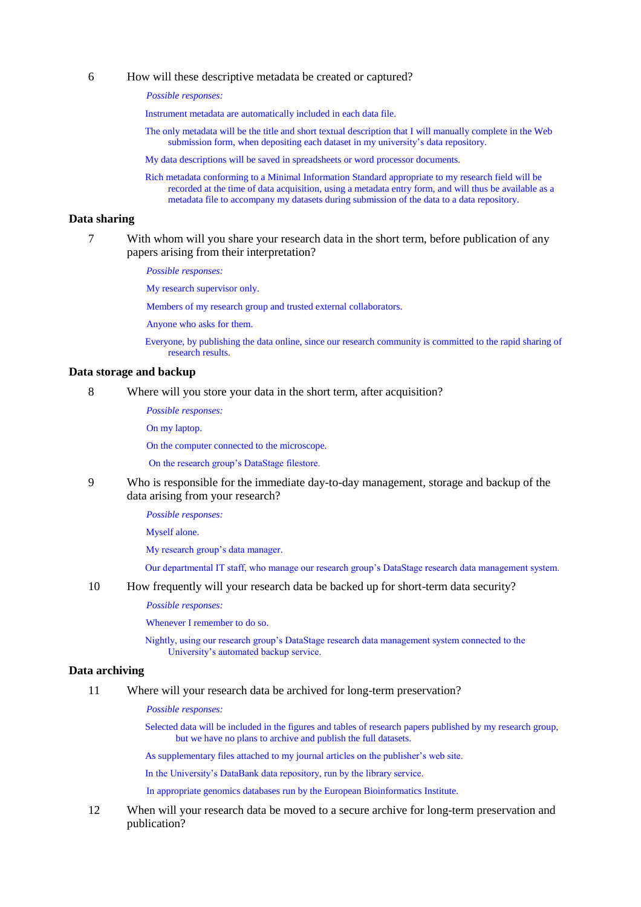### 6 How will these descriptive metadata be created or captured?

*Possible responses:*

Instrument metadata are automatically included in each data file.

The only metadata will be the title and short textual description that I will manually complete in the Web submission form, when depositing each dataset in my university's data repository.

My data descriptions will be saved in spreadsheets or word processor documents.

Rich metadata conforming to a Minimal Information Standard appropriate to my research field will be recorded at the time of data acquisition, using a metadata entry form, and will thus be available as a metadata file to accompany my datasets during submission of the data to a data repository.

## **Data sharing**

7 With whom will you share your research data in the short term, before publication of any papers arising from their interpretation?

*Possible responses:* 

My research supervisor only.

Members of my research group and trusted external collaborators.

Anyone who asks for them.

Everyone, by publishing the data online, since our research community is committed to the rapid sharing of research results.

### **Data storage and backup**

8 Where will you store your data in the short term, after acquisition?

*Possible responses:*

On my laptop.

On the computer connected to the microscope.

On the research group's DataStage filestore.

9 Who is responsible for the immediate day-to-day management, storage and backup of the data arising from your research?

*Possible responses:* 

Myself alone.

My research group's data manager.

Our departmental IT staff, who manage our research group's DataStage research data management system.

10 How frequently will your research data be backed up for short-term data security?

*Possible responses:*

Whenever I remember to do so.

Nightly, using our research group's DataStage research data management system connected to the University's automated backup service.

## **Data archiving**

#### 11 Where will your research data be archived for long-term preservation?

*Possible responses:*

Selected data will be included in the figures and tables of research papers published by my research group, but we have no plans to archive and publish the full datasets.

As supplementary files attached to my journal articles on the publisher's web site.

In the University's DataBank data repository, run by the library service.

In appropriate genomics databases run by the European Bioinformatics Institute.

12 When will your research data be moved to a secure archive for long-term preservation and publication?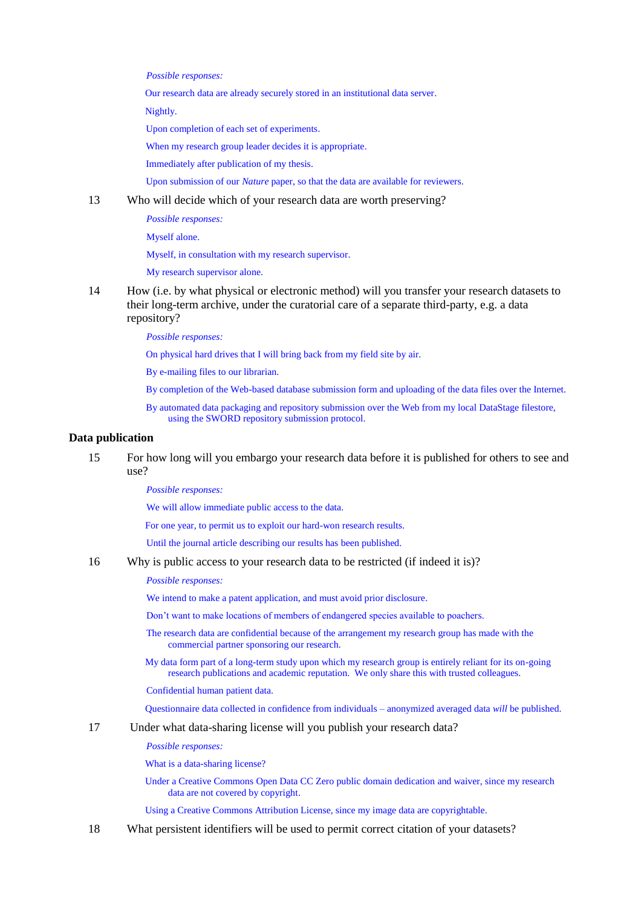*Possible responses:*

Our research data are already securely stored in an institutional data server.

Nightly.

Upon completion of each set of experiments.

When my research group leader decides it is appropriate.

Immediately after publication of my thesis.

Upon submission of our *Nature* paper, so that the data are available for reviewers.

13 Who will decide which of your research data are worth preserving?

*Possible responses:* 

Myself alone.

Myself, in consultation with my research supervisor.

My research supervisor alone.

14 How (i.e. by what physical or electronic method) will you transfer your research datasets to their long-term archive, under the curatorial care of a separate third-party, e.g. a data repository?

*Possible responses:*

On physical hard drives that I will bring back from my field site by air.

By e-mailing files to our librarian.

- By completion of the Web-based database submission form and uploading of the data files over the Internet.
- By automated data packaging and repository submission over the Web from my local DataStage filestore, using the SWORD repository submission protocol.

#### **Data publication**

15 For how long will you embargo your research data before it is published for others to see and use?

*Possible responses:*

We will allow immediate public access to the data.

For one year, to permit us to exploit our hard-won research results.

Until the journal article describing our results has been published.

16 Why is public access to your research data to be restricted (if indeed it is)?

*Possible responses:* 

We intend to make a patent application, and must avoid prior disclosure.

Don't want to make locations of members of endangered species available to poachers.

The research data are confidential because of the arrangement my research group has made with the commercial partner sponsoring our research.

My data form part of a long-term study upon which my research group is entirely reliant for its on-going research publications and academic reputation. We only share this with trusted colleagues.

Confidential human patient data.

Questionnaire data collected in confidence from individuals – anonymized averaged data *will* be published.

### 17 Under what data-sharing license will you publish your research data?

*Possible responses:* 

What is a data-sharing license?

Under a Creative Commons Open Data CC Zero public domain dedication and waiver, since my research data are not covered by copyright.

Using a Creative Commons Attribution License, since my image data are copyrightable.

18 What persistent identifiers will be used to permit correct citation of your datasets?